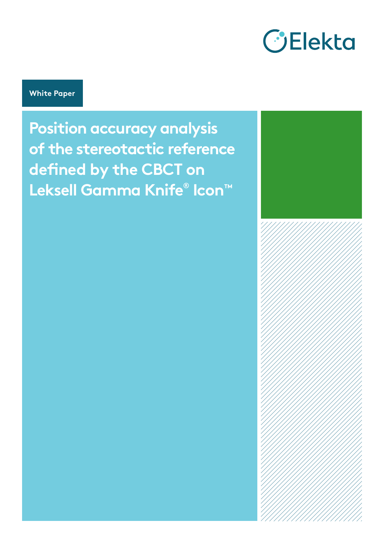

**White Paper**

**Position accuracy analysis of the stereotactic reference defined by the CBCT on Leksell Gamma Knife® Icon™**

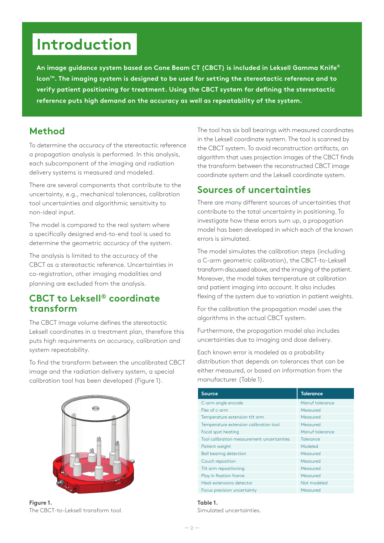## **Introduction**

**An image guidance system based on Cone Beam CT (CBCT) is included in Leksell Gamma Knife® IconTM. The imaging system is designed to be used for setting the stereotactic reference and to verify patient positioning for treatment. Using the CBCT system for defining the stereotactic reference puts high demand on the accuracy as well as repeatability of the system.** 

## **Method**

To determine the accuracy of the stereotactic reference a propagation analysis is performed. In this analysis, each subcomponent of the imaging and radiation delivery systems is measured and modeled.

There are several components that contribute to the uncertainty, e.g., mechanical tolerances, calibration tool uncertainties and algorithmic sensitivity to non-ideal input.

The model is compared to the real system where a specifically designed end-to-end tool is used to determine the geometric accuracy of the system.

The analysis is limited to the accuracy of the CBCT as a stereotactic reference. Uncertainties in co-registration, other imaging modalities and planning are excluded from the analysis.

## **CBCT to Leksell® coordinate transform**

The CBCT image volume defines the stereotactic Leksell coordinates in a treatment plan, therefore this puts high requirements on accuracy, calibration and system repeatability.

To find the transform between the uncalibrated CBCT image and the radiation delivery system, a special calibration tool has been developed (Figure 1).



**Figure 1.** The CBCT-to-Leksell transform tool.

The tool has six ball bearings with measured coordinates in the Leksell coordinate system. The tool is scanned by the CBCT system. To avoid reconstruction artifacts, an algorithm that uses projection images of the CBCT finds the transform between the reconstructed CBCT image coordinate system and the Leksell coordinate system.

## **Sources of uncertainties**

There are many different sources of uncertainties that contribute to the total uncertainty in positioning. To investigate how these errors sum up, a propagation model has been developed in which each of the known errors is simulated.

The model simulates the calibration steps (including a C-arm geometric calibration), the CBCT-to-Leksell transform discussed above, and the imaging of the patient. Moreover, the model takes temperature at calibration and patient imaging into account. It also includes flexing of the system due to variation in patient weights.

For the calibration the propagation model uses the algorithms in the actual CBCT system.

Furthermore, the propagation model also includes uncertainties due to imaging and dose delivery.

Each known error is modeled as a probability distribution that depends on tolerances that can be either measured, or based on information from the manufacturer (Table 1).

| Source                                     | <b>Tolerance</b> |
|--------------------------------------------|------------------|
| C-arm angle encode                         | Manuf tolerance  |
| Flex of c-arm                              | Measured         |
| Temperature extension tilt arm             | Measured         |
| Temperature extension calibration tool     | Measured         |
| Focal spot heating                         | Manuf tolerance  |
| Tool calibration measurement uncertainties | Tolerance        |
| Patient weight                             | Modeled          |
| <b>Ball bearing detection</b>              | Measured         |
| Couch reposition                           | Measured         |
| Tilt arm repositioning                     | Measured         |
| Play in fixation frame                     | Measured         |
| Heat extensions detector                   | Not modeled      |
| Focus precision uncertainty                | Measured         |

#### **Table 1.**

Simulated uncertainties.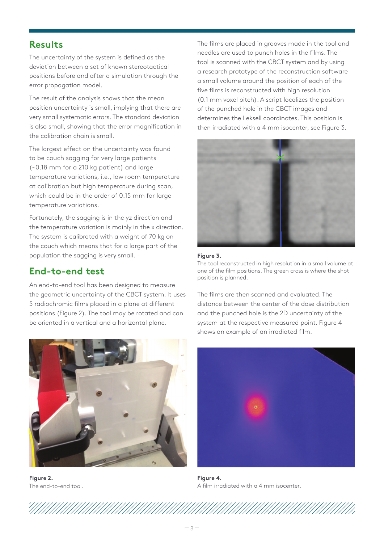## **Results**

The uncertainty of the system is defined as the deviation between a set of known stereotactical positions before and after a simulation through the error propagation model.

The result of the analysis shows that the mean position uncertainty is small, implying that there are very small systematic errors. The standard deviation is also small, showing that the error magnification in the calibration chain is small.

The largest effect on the uncertainty was found to be couch sagging for very large patients (~0.18 mm for a 210 kg patient) and large temperature variations, i.e., low room temperature at calibration but high temperature during scan, which could be in the order of 0.15 mm for large temperature variations.

Fortunately, the sagging is in the yz direction and the temperature variation is mainly in the x direction. The system is calibrated with a weight of 70 kg on the couch which means that for a large part of the population the sagging is very small.

## **End-to-end test**

An end-to-end tool has been designed to measure the geometric uncertainty of the CBCT system. It uses 5 radiochromic films placed in a plane at different positions (Figure 2). The tool may be rotated and can be oriented in a vertical and a horizontal plane.



**Figure 2.** The end-to-end tool.

The films are placed in grooves made in the tool and needles are used to punch holes in the films. The tool is scanned with the CBCT system and by using a research prototype of the reconstruction software a small volume around the position of each of the five films is reconstructed with high resolution (0.1 mm voxel pitch). A script localizes the position of the punched hole in the CBCT images and determines the Leksell coordinates. This position is then irradiated with a 4 mm isocenter, see Figure 3.



#### **Figure 3.**

The tool reconstructed in high resolution in a small volume at one of the film positions. The green cross is where the shot position is planned.

The films are then scanned and evaluated. The distance between the center of the dose distribution and the punched hole is the 2D uncertainty of the system at the respective measured point. Figure 4 shows an example of an irradiated film.



**Figure 4.** A film irradiated with a 4 mm isocenter.